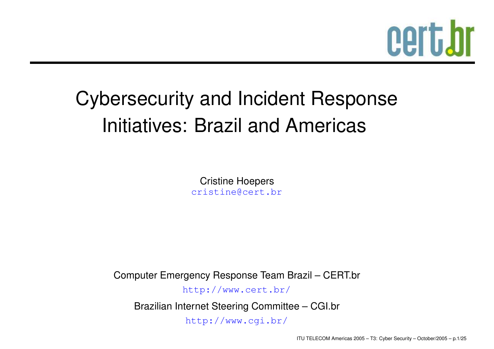# cert.br

### Cybersecurity and Incident Response Initiatives: Brazil and Americas

Cristine [Hoep](mailto:cristine@cert.br)ers cristine@cert.br

Computer Emergency Response Team Brazil – CERT.br

[http](http://www.cert.br/):[//](http://www.cert.br/)www.[cert](http://www.cert.br/).br/

Brazilian Internet Steering Committee – CGI.br [http://www](http://www.cgi.br/).[cgi](http://www.cgi.br/).br/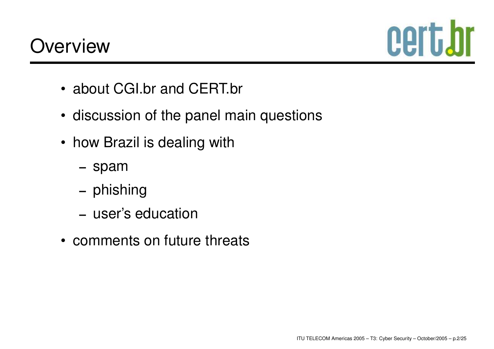

- about CGI.br and CERT.br
- discussion of the panel main questions
- how Brazil is dealing with
	- **–** spam
	- **–**– phishing
	- **–** user's education
- comments on future threats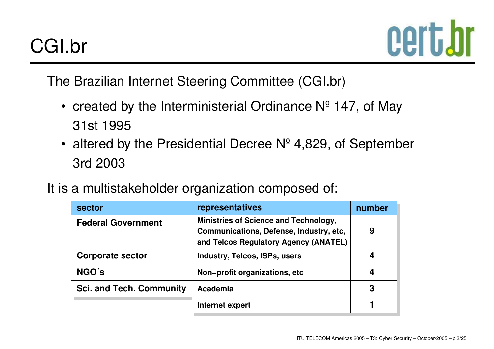

The Brazilian Internet Steering Committee (CGI.br)

- created by the Interministerial Ordinance  $N^{\circ}$  147, of May 31st 1995
- altered by the Presidential Decree Nº 4,829, of September 3rd 2003
- It is a multistakeholder organization composed of:

| sector                          | representatives                                                                                                           | number |
|---------------------------------|---------------------------------------------------------------------------------------------------------------------------|--------|
| <b>Federal Government</b>       | Ministries of Science and Technology,<br>Communications, Defense, Industry, etc,<br>and Telcos Regulatory Agency (ANATEL) | 9      |
| <b>Corporate sector</b>         | <b>Industry, Telcos, ISPs, users</b>                                                                                      |        |
| NGO's                           | Non-profit organizations, etc                                                                                             | 4      |
| <b>Sci. and Tech. Community</b> | Academia                                                                                                                  | 3      |
|                                 | Internet expert                                                                                                           |        |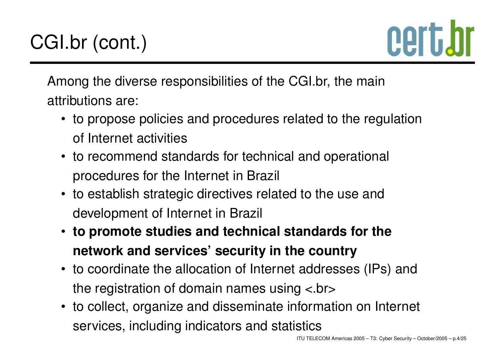

Among the diverse responsibilities of the CGI.br, the main attributions are:

- to propose policies and procedures related to the regulation of Internet activities
- to recommend standards for technical and operational procedures for the Internet in Brazil
- to establish strategic directives related to the use and development of Internet in Brazil
- **to promote studies and technical standards for the network and services' security in the country**
- to coordinate the allocation of Internet addresses (IPs) and the registration of domain names using <.br>
- to collect, organize and disseminate information on Internet services, including indicators and statistics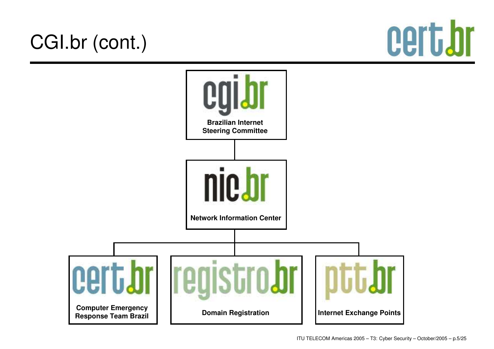### CGI.br (cont.)



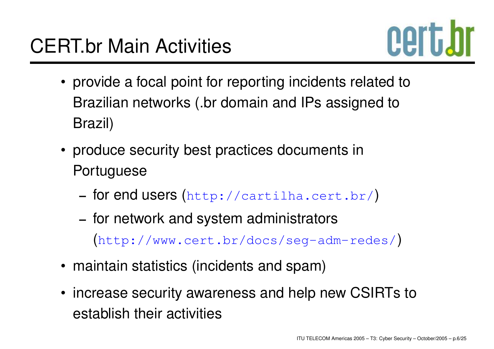

- provide <sup>a</sup> focal point for reporting incidents related to Brazilian networks (.br domain and IPs assigned to Brazil)
- produce security best practices documents in **Portuguese** 
	- **–** for end users ([http://cartilha](http://cartilha.cert.br/).[cert](http://cartilha.cert.br/).[b](http://cartilha.cert.br/)r/)
	- **–** for network and system administrators ([http://www](http://www.cert.br/docs/seg-adm-redes/).[cert](http://www.cert.br/docs/seg-adm-redes/).[br/docs/seg-adm-rede](http://www.cert.br/docs/seg-adm-redes/)s/)
- maintain statistics (incidents and spam)
- increase security awareness and help new CSIRTs to establish their activities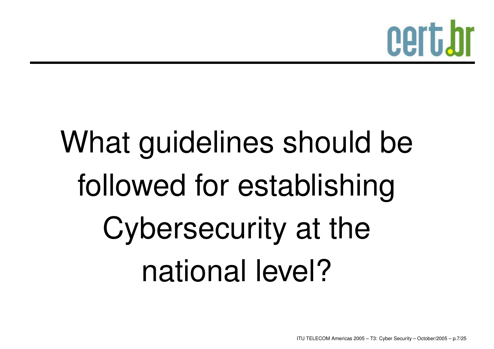

# What guidelines should be followed for establishing Cybersecurity at the national level?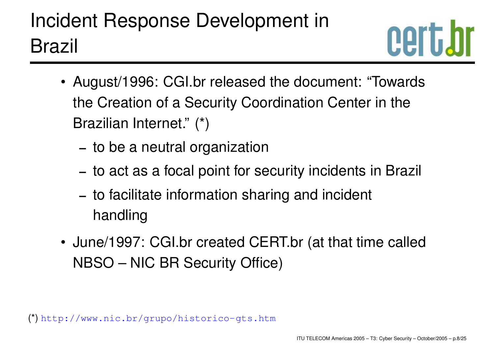### Incident Response Development in Brazil



- August/1996: CGI.br released the document: "Towards the Creation of <sup>a</sup> Security Coordination Center in the Brazilian Internet." (\*)
	- **–** to be <sup>a</sup> neutral organization
	- **–** to act as <sup>a</sup> focal point for security incidents in Brazil
	- **–** to facilitate information sharing and incident handling
- June/1997: CGI.br created CERT.br (at that time called NBSO – NIC BR Security Office)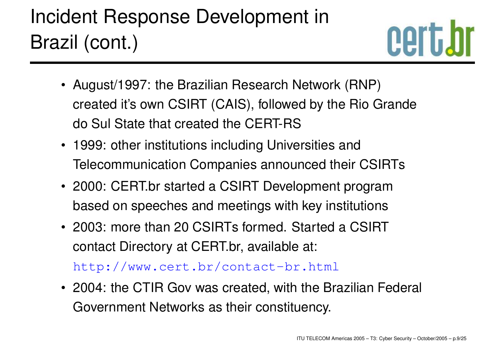### Incident Response Development in Brazil (cont.)



- August/1997: the Brazilian Research Network (RNP) created it's own CSIRT (CAIS), followed by the Rio Grande do Sul State that created the CERT-RS
- 1999: other institutions including Universities and Telecommunication Companies announced their CSIRTs
- 2000: CERT.br started a CSIRT Development program based on speeches and meetings with key institutions
- 2003: more than 20 CSIRTs formed. Started a CSIRTcontact Directory at CERT.br, available at:

[http://www](http://www.cert.br/contact-br.html).[cert](http://www.cert.br/contact-br.html).[br/contact-br](http://www.cert.br/contact-br.html).[ht](http://www.cert.br/contact-br.html)ml

• 2004: the CTIR Gov was created, with the Brazilian Federal Government Networks as their constituency.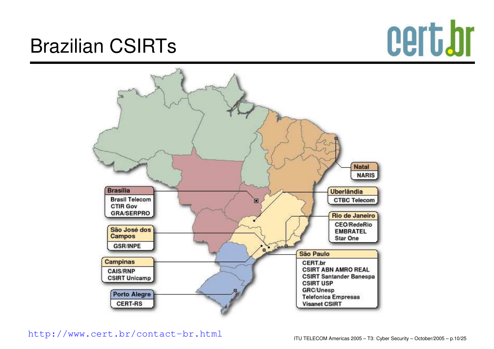# cert.br

### Brazilian CSIRTs



[http://www](http://www.cert.br/contact-br.html).[cert](http://www.cert.br/contact-br.html).[br/contact](http://www.cert.br/contact-br.html)-[br](http://www.cert.br/contact-br.html).[h](http://www.cert.br/contact-br.html)tml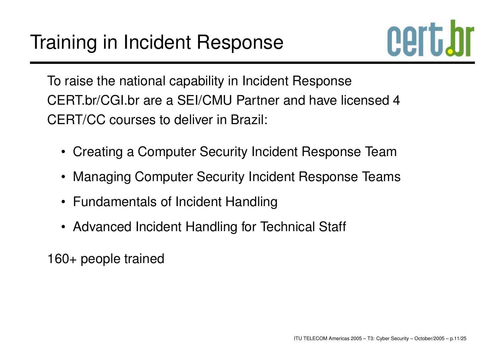

To raise the national capability in Incident Response CERT.br/CGI.br are a SEI/CMU Partner and have licensed 4 CERT/CC courses to deliver in Brazil:

- Creating <sup>a</sup> Computer Security Incident Response Team
- Managing Computer Security Incident Response Teams
- Fundamentals of Incident Handling
- Advanced Incident Handling for Technical Staff

160+ people trained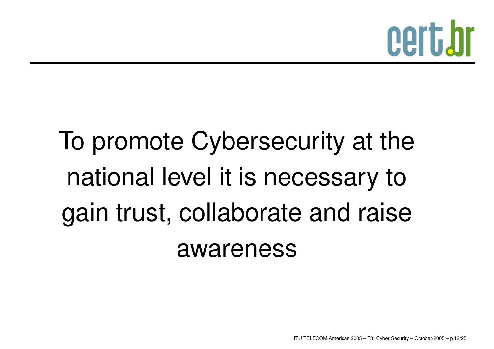

### To promote Cybersecurity at the national level it is necessary to gain trust, collaborate and raise awareness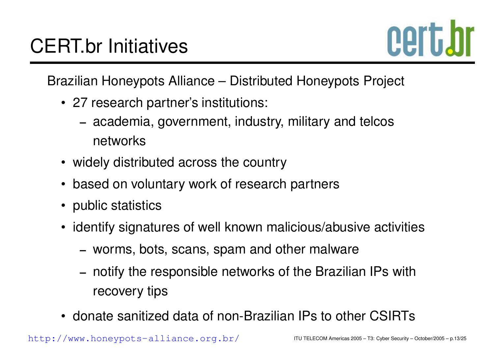

Brazilian Honeypots Alliance – Distributed Honeypots Project

- 27 research partner's institutions:
	- **–** academia, government, industry, military and telcos networks
- widely distributed across the country
- based on voluntary work of research partners
- public statistics
- identify signatures of well known malicious/abusive activities
	- **–**– worms, bots, scans, spam and other malware
	- **–** notify the responsible networks of the Brazilian IPs with recovery tips
- donate sanitized data of non-Brazilian IPs to other CSIRTs

[http](http://www.honeypots-alliance.org.br/):[//](http://www.honeypots-alliance.org.br/)www.[hone](http://www.honeypots-alliance.org.br/)y[pots](http://www.honeypots-alliance.org.br/)-[alliance](http://www.honeypots-alliance.org.br/).[org](http://www.honeypots-alliance.org.br/).br/ ITU TELECOM Americas 2005 – T3: Cyber Security – October/2005 – p.13/25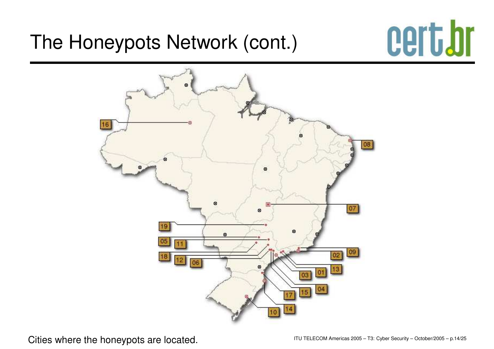#### The Honeypots Network (cont.)





Cities where the honeypots are located. It is a second Americas 2005 – T3: Cyber Security – October/2005 – p.14/25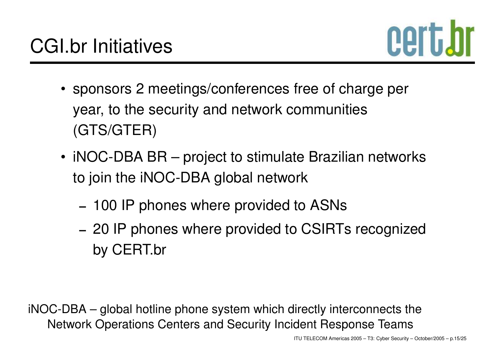

- sponsors 2 meetings/conferences free of charge per year, to the security and network communities (GTS/GTER)
- iNOC-DBA BR project to stimulate Brazilian networks to join the iNOC-DBA global network
	- **–** 100 IP phones where provided to ASNs
	- **–** 20 IP phones where provided to CSIRTs recognized by CERT.br

iNOC-DBA – global hotline phone system which directly interconnects the Network Operations Centers and Security Incident Response Teams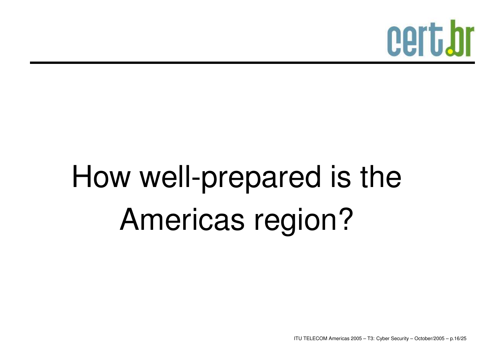

## How well-prepared is the Americas region?

ITU TELECOM Americas 2005 – T3: Cyber Security – October/2005 – p.16/25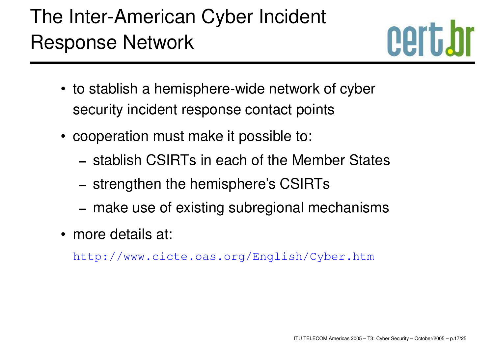### The Inter-American Cyber Incident Response Network



- to stablish <sup>a</sup> hemisphere-wide network of cyber security incident response contact points
- cooperation must make it possible to:
	- **–** stablish CSIRTs in each of the Member States
	- **–**– strengthen the hemisphere's CSIRTs
	- **–** make use of existing subregional mechanisms
- more details at:

[http://www](http://www.cicte.oas.org/English/Cyber.htm).[cicte](http://www.cicte.oas.org/English/Cyber.htm).[oas](http://www.cicte.oas.org/English/Cyber.htm).[org/English/Cyber](http://www.cicte.oas.org/English/Cyber.htm).htm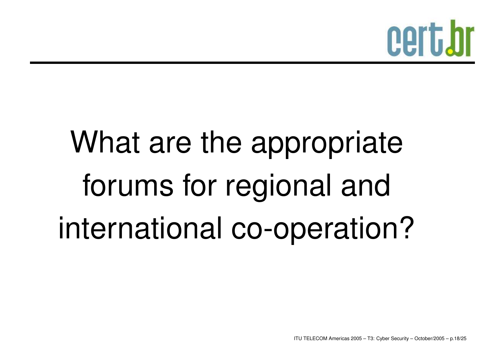

# What are the appropriate forums for regional and international co-operation?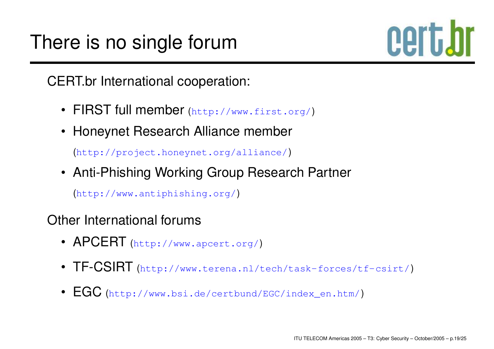### There is no single forum



CERT.br International cooperation:

- FIRST full member ([http](http://www.first.org/):[//](http://www.first.org/)www.[first](http://www.first.org/).org/)
- Honeynet Research Alliance member

([http://project](http://project.honeynet.org/alliance/).[honeynet](http://project.honeynet.org/alliance/).[org/allian](http://project.honeynet.org/alliance/)ce/)

• Anti-Phishing Working Group Research Partner

([http://www](http://www.antiphishing.org/).[antiphishing](http://www.antiphishing.org/).[o](http://www.antiphishing.org/)rg/)

Other International forums

- APCERT ([http://www](http://www.apcert.org/).[apcert](http://www.apcert.org/).org/)
- $\textsf{TF-CSIRT}$  ([http://www](http://www.terena.nl/tech/task-forces/tf-csirt/).[terena](http://www.terena.nl/tech/task-forces/tf-csirt/).[nl/tech/task](http://www.terena.nl/tech/task-forces/tf-csirt/)-[forces/tf](http://www.terena.nl/tech/task-forces/tf-csirt/)-[csi](http://www.terena.nl/tech/task-forces/tf-csirt/)rt/)
- $\mathsf{EGC}$  $\mathsf{EGC}$  $\mathsf{EGC}$  ([http://www](http://www.bsi.de/certbund/EGC/index_en.htm/).[bsi](http://www.bsi.de/certbund/EGC/index_en.htm/).[de/certbund/EGC/index](http://www.bsi.de/certbund/EGC/index_en.htm/)\_[en](http://www.bsi.de/certbund/EGC/index_en.htm/).htm/)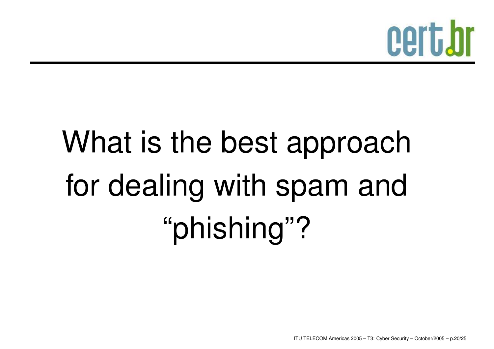

# What is the best approach for dealing with spam and "phishing"?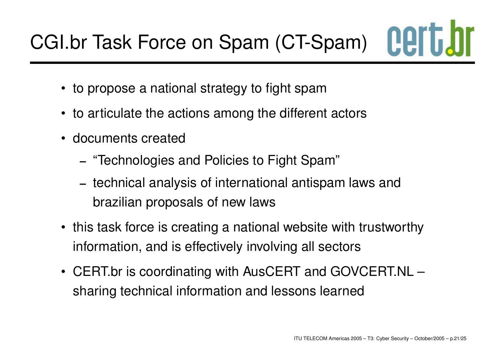- to propose <sup>a</sup> national strategy to fight spam
- to articulate the actions among the different actors
- documents created
	- **–**"Technologies and Policies to Fight Spam"
	- technical analysis of international antispam laws and brazilian proposals of new laws
- this task force is creating <sup>a</sup> national website with trustworthy information, and is effectively involving all sectors
- CERT.br is coordinating with AusCERT and GOVCERT.NL sharing technical information and lessons learned

**Cert**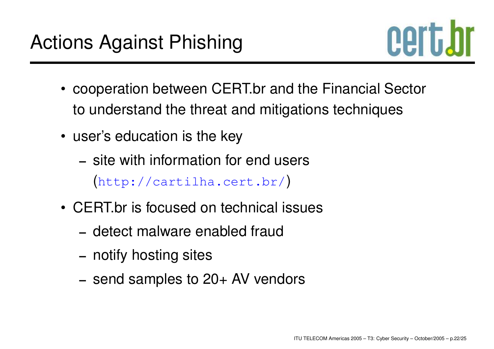

- cooperation between CERT.br and the Financial Sector to understand the threat and mitigations techniques
- user's education is the key
	- **–** site with information for end users ([http://cartilha](http://cartilha.cert.br/).[cert](http://cartilha.cert.br/).[b](http://cartilha.cert.br/)r/)
- CERT.br is focused on technical issues
	- **–** detect malware enabled fraud
	- **–**– notify hosting sites
	- **–** send samples to 20+ AV vendors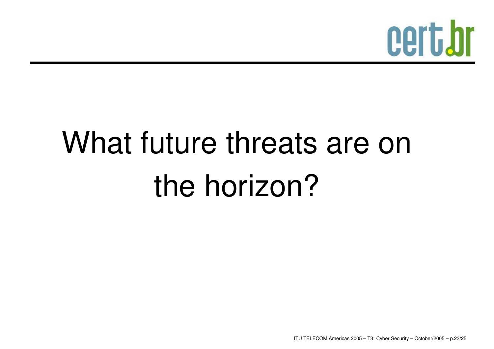

## What future threats are on the horizon?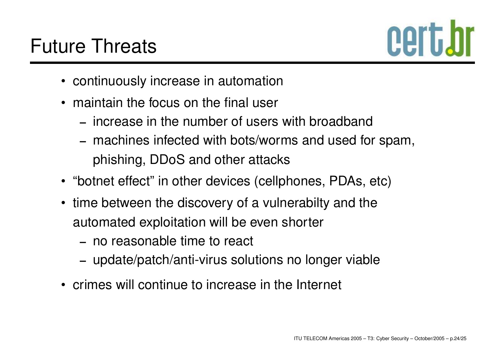

- continuously increase in automation
- maintain the focus on the final user
	- **–** increase in the number of users with broadband
	- machines infected with bots/worms and used for spam, phishing, DDoS and other attacks
- "botnet effect" in other devices (cellphones, PDAs, etc)
- time between the discovery of <sup>a</sup> vulnerabilty and the automated exploitation will be even shorter
	- **–** no reasonable time to react
	- update/patch/anti-virus solutions no longer viable
- crimes will continue to increase in the Internet